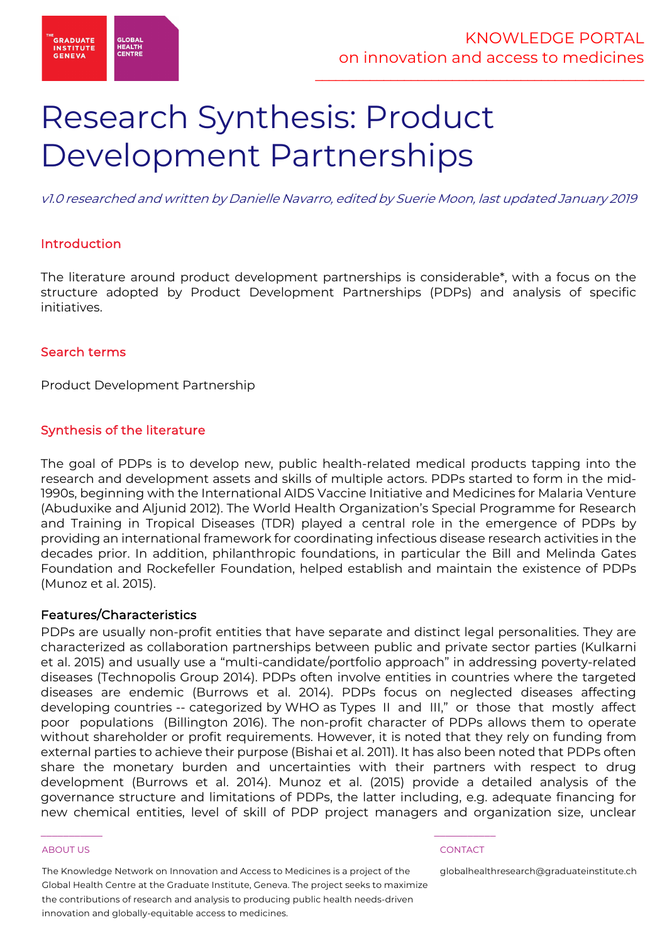

# Research Synthesis: Product Development Partnerships

v1.0 researched and written by Danielle Navarro, edited by Suerie Moon, last updated January 2019

# Introduction

The literature around product development partnerships is considerable\*, with a focus on the structure adopted by Product Development Partnerships (PDPs) and analysis of specific initiatives.

# Search terms

Product Development Partnership

# Synthesis of the literature

The goal of PDPs is to develop new, public health-related medical products tapping into the research and development assets and skills of multiple actors. PDPs started to form in the mid-1990s, beginning with the International AIDS Vaccine Initiative and Medicines for Malaria Venture (Abuduxike and Aljunid 2012). The World Health Organization's Special Programme for Research and Training in Tropical Diseases (TDR) played a central role in the emergence of PDPs by providing an international framework for coordinating infectious disease research activities in the decades prior. In addition, philanthropic foundations, in particular the Bill and Melinda Gates Foundation and Rockefeller Foundation, helped establish and maintain the existence of PDPs (Munoz et al. 2015).

### Features/Characteristics

PDPs are usually non-profit entities that have separate and distinct legal personalities. They are characterized as collaboration partnerships between public and private sector parties (Kulkarni et al. 2015) and usually use a "multi-candidate/portfolio approach" in addressing poverty-related diseases (Technopolis Group 2014). PDPs often involve entities in countries where the targeted diseases are endemic (Burrows et al. 2014). PDPs focus on neglected diseases affecting developing countries -- categorized by WHO as Types II and III," or those that mostly affect poor populations (Billington 2016). The non-profit character of PDPs allows them to operate without shareholder or profit requirements. However, it is noted that they rely on funding from external parties to achieve their purpose (Bishai et al. 2011). It has also been noted that PDPs often share the monetary burden and uncertainties with their partners with respect to drug development (Burrows et al. 2014). Munoz et al. (2015) provide a detailed analysis of the governance structure and limitations of PDPs, the latter including, e.g. adequate financing for new chemical entities, level of skill of PDP project managers and organization size, unclear

### ABOUT US CONTACT AND RESERVE THE RELEASE OF THE RELEASE OF THE RELEASE OF THE RELEASE OF THE RELEASE OF THE RELEASE OF THE RELEASE OF THE RELEASE OF THE RELEASE OF THE RELEASE OF THE RELEASE OF THE RELEASE OF THE RELEASE O

The Knowledge Network on Innovation and Access to Medicines is a project of the Global Health Centre at the Graduate Institute, Geneva. The project seeks to maximize the contributions of research and analysis to producing public health needs-driven innovation and globally-equitable access to medicines.

 $\frac{1}{2}$  , and the set of the set of the set of the set of the set of the set of the set of the set of the set of the set of the set of the set of the set of the set of the set of the set of the set of the set of the set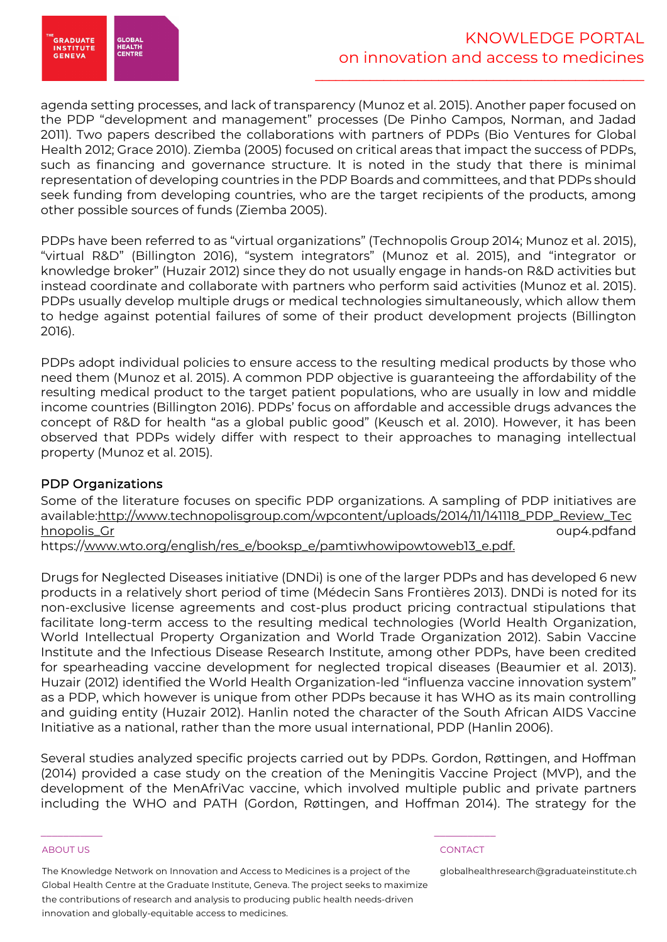

agenda setting processes, and lack of transparency (Munoz et al. 2015). Another paper focused on the PDP "development and management" processes (De Pinho Campos, Norman, and Jadad 2011). Two papers described the collaborations with partners of PDPs (Bio Ventures for Global Health 2012; Grace 2010). Ziemba (2005) focused on critical areas that impact the success of PDPs, such as financing and governance structure. It is noted in the study that there is minimal representation of developing countries in the PDP Boards and committees, and that PDPs should seek funding from developing countries, who are the target recipients of the products, among other possible sources of funds (Ziemba 2005).

PDPs have been referred to as "virtual organizations" (Technopolis Group 2014; Munoz et al. 2015), "virtual R&D" (Billington 2016), "system integrators" (Munoz et al. 2015), and "integrator or knowledge broker" (Huzair 2012) since they do not usually engage in hands-on R&D activities but instead coordinate and collaborate with partners who perform said activities (Munoz et al. 2015). PDPs usually develop multiple drugs or medical technologies simultaneously, which allow them to hedge against potential failures of some of their product development projects (Billington 2016).

PDPs adopt individual policies to ensure access to the resulting medical products by those who need them (Munoz et al. 2015). A common PDP objective is guaranteeing the affordability of the resulting medical product to the target patient populations, who are usually in low and middle income countries (Billington 2016). PDPs' focus on affordable and accessible drugs advances the concept of R&D for health "as a global public good" (Keusch et al. 2010). However, it has been observed that PDPs widely differ with respect to their approaches to managing intellectual property (Munoz et al. 2015).

# PDP Organizations

Some of the literature focuses on specific PDP organizations. A sampling of PDP initiatives are available:http://www.technopolisgroup.com/wpcontent/uploads/2014/11/141118\_PDP\_Review\_Tec hnopolis\_Gr oup4.pdfand

https://www.wto.org/english/res\_e/booksp\_e/pamtiwhowipowtoweb13\_e.pdf.

Drugs for Neglected Diseases initiative (DNDi) is one of the larger PDPs and has developed 6 new products in a relatively short period of time (Médecin Sans Frontières 2013). DNDi is noted for its non-exclusive license agreements and cost-plus product pricing contractual stipulations that facilitate long-term access to the resulting medical technologies (World Health Organization, World Intellectual Property Organization and World Trade Organization 2012). Sabin Vaccine Institute and the Infectious Disease Research Institute, among other PDPs, have been credited for spearheading vaccine development for neglected tropical diseases (Beaumier et al. 2013). Huzair (2012) identified the World Health Organization-led "influenza vaccine innovation system" as a PDP, which however is unique from other PDPs because it has WHO as its main controlling and guiding entity (Huzair 2012). Hanlin noted the character of the South African AIDS Vaccine Initiative as a national, rather than the more usual international, PDP (Hanlin 2006).

Several studies analyzed specific projects carried out by PDPs. Gordon, Røttingen, and Hoffman (2014) provided a case study on the creation of the Meningitis Vaccine Project (MVP), and the development of the MenAfriVac vaccine, which involved multiple public and private partners including the WHO and PATH (Gordon, Røttingen, and Hoffman 2014). The strategy for the

### ABOUT US CONTACT AND RESERVE THE RELEASE OF THE RELEASE OF THE RELEASE OF THE RELEASE OF THE RELEASE OF THE RELEASE OF THE RELEASE OF THE RELEASE OF THE RELEASE OF THE RELEASE OF THE RELEASE OF THE RELEASE OF THE RELEASE O

The Knowledge Network on Innovation and Access to Medicines is a project of the Global Health Centre at the Graduate Institute, Geneva. The project seeks to maximize the contributions of research and analysis to producing public health needs-driven innovation and globally-equitable access to medicines.

 $\frac{1}{2}$  , and the set of the set of the set of the set of the set of the set of the set of the set of the set of the set of the set of the set of the set of the set of the set of the set of the set of the set of the set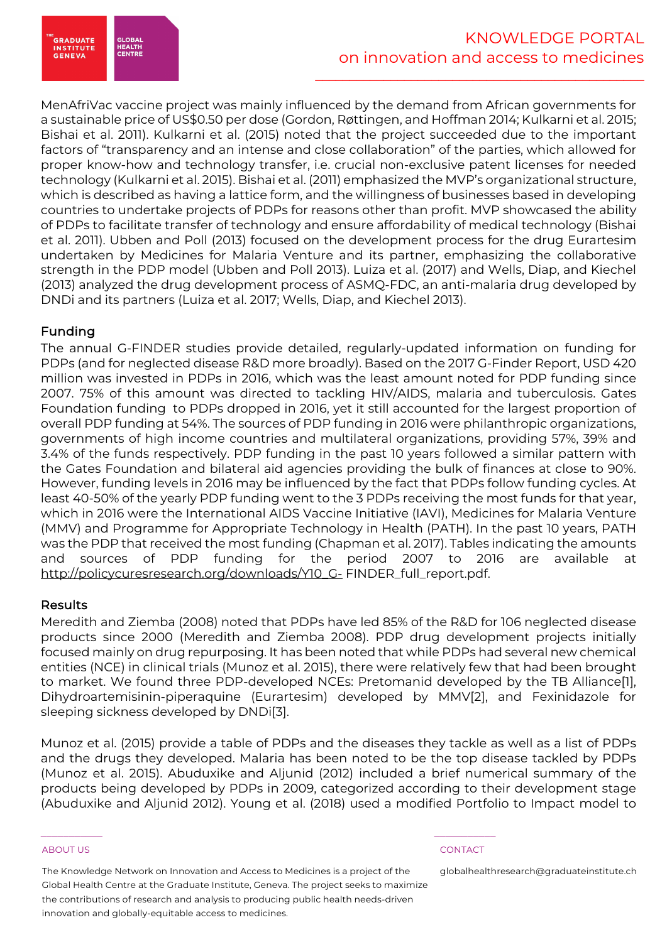

MenAfriVac vaccine project was mainly influenced by the demand from African governments for a sustainable price of US\$0.50 per dose (Gordon, Røttingen, and Hoffman 2014; Kulkarni et al. 2015; Bishai et al. 2011). Kulkarni et al. (2015) noted that the project succeeded due to the important factors of "transparency and an intense and close collaboration" of the parties, which allowed for proper know-how and technology transfer, i.e. crucial non-exclusive patent licenses for needed technology (Kulkarni et al. 2015). Bishai et al. (2011) emphasized the MVP's organizational structure, which is described as having a lattice form, and the willingness of businesses based in developing countries to undertake projects of PDPs for reasons other than profit. MVP showcased the ability of PDPs to facilitate transfer of technology and ensure affordability of medical technology (Bishai et al. 2011). Ubben and Poll (2013) focused on the development process for the drug Eurartesim undertaken by Medicines for Malaria Venture and its partner, emphasizing the collaborative strength in the PDP model (Ubben and Poll 2013). Luiza et al. (2017) and Wells, Diap, and Kiechel (2013) analyzed the drug development process of ASMQ-FDC, an anti-malaria drug developed by DNDi and its partners (Luiza et al. 2017; Wells, Diap, and Kiechel 2013).

# Funding

The annual G-FINDER studies provide detailed, regularly-updated information on funding for PDPs (and for neglected disease R&D more broadly). Based on the 2017 G-Finder Report, USD 420 million was invested in PDPs in 2016, which was the least amount noted for PDP funding since 2007. 75% of this amount was directed to tackling HIV/AIDS, malaria and tuberculosis. Gates Foundation funding to PDPs dropped in 2016, yet it still accounted for the largest proportion of overall PDP funding at 54%. The sources of PDP funding in 2016 were philanthropic organizations, governments of high income countries and multilateral organizations, providing 57%, 39% and 3.4% of the funds respectively. PDP funding in the past 10 years followed a similar pattern with the Gates Foundation and bilateral aid agencies providing the bulk of finances at close to 90%. However, funding levels in 2016 may be influenced by the fact that PDPs follow funding cycles. At least 40-50% of the yearly PDP funding went to the 3 PDPs receiving the most funds for that year, which in 2016 were the International AIDS Vaccine Initiative (IAVI), Medicines for Malaria Venture (MMV) and Programme for Appropriate Technology in Health (PATH). In the past 10 years, PATH was the PDP that received the most funding (Chapman et al. 2017). Tables indicating the amounts and sources of PDP funding for the period 2007 to 2016 are available at http://policycuresresearch.org/downloads/Y10\_G- FINDER\_full\_report.pdf.

# Results

Meredith and Ziemba (2008) noted that PDPs have led 85% of the R&D for 106 neglected disease products since 2000 (Meredith and Ziemba 2008). PDP drug development projects initially focused mainly on drug repurposing. It has been noted that while PDPs had several new chemical entities (NCE) in clinical trials (Munoz et al. 2015), there were relatively few that had been brought to market. We found three PDP-developed NCEs: Pretomanid developed by the TB Alliance[1], Dihydroartemisinin-piperaquine (Eurartesim) developed by MMV[2], and Fexinidazole for sleeping sickness developed by DNDi[3].

Munoz et al. (2015) provide a table of PDPs and the diseases they tackle as well as a list of PDPs and the drugs they developed. Malaria has been noted to be the top disease tackled by PDPs (Munoz et al. 2015). Abuduxike and Aljunid (2012) included a brief numerical summary of the products being developed by PDPs in 2009, categorized according to their development stage (Abuduxike and Aljunid 2012). Young et al. (2018) used a modified Portfolio to Impact model to

### ABOUT US CONTACT AND RESERVE THE RELEASE OF THE RELEASE OF THE RELEASE OF THE RELEASE OF THE RELEASE OF THE RELEASE OF THE RELEASE OF THE RELEASE OF THE RELEASE OF THE RELEASE OF THE RELEASE OF THE RELEASE OF THE RELEASE O

The Knowledge Network on Innovation and Access to Medicines is a project of the Global Health Centre at the Graduate Institute, Geneva. The project seeks to maximize the contributions of research and analysis to producing public health needs-driven innovation and globally-equitable access to medicines.

 $\frac{1}{2}$  , and the set of the set of the set of the set of the set of the set of the set of the set of the set of the set of the set of the set of the set of the set of the set of the set of the set of the set of the set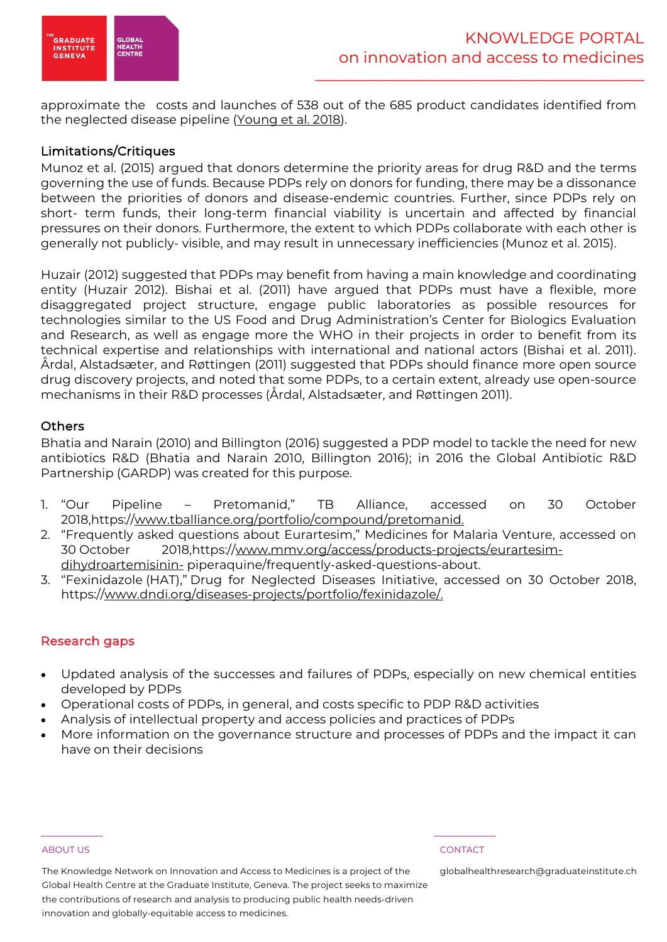

approximate the costs and launches of 538 out of the 685 product candidates identified from the neglected disease pipeline (Young et al. 2018).

# Limitations/Critiques

Munoz et al. (2015) argued that donors determine the priority areas for drug R&D and the terms governing the use of funds. Because PDPs rely on donors for funding, there may be a dissonance between the priorities of donors and disease-endemic countries. Further, since PDPs rely on short- term funds, their long-term financial viability is uncertain and affected by financial pressures on their donors. Furthermore, the extent to which PDPs collaborate with each other is generally not publicly- visible, and may result in unnecessary inefficiencies (Munoz et al. 2015).

Huzair (2012) suggested that PDPs may benefit from having a main knowledge and coordinating entity (Huzair 2012). Bishai et al. (2011) have argued that PDPs must have a flexible, more disaggregated project structure, engage public laboratories as possible resources for technologies similar to the US Food and Drug Administration's Center for Biologics Evaluation and Research, as well as engage more the WHO in their projects in order to benefit from its technical expertise and relationships with international and national actors (Bishai et al. 2011). Årdal, Alstadsæter, and Røttingen (2011) suggested that PDPs should finance more open source drug discovery projects, and noted that some PDPs, to a certain extent, already use open-source mechanisms in their R&D processes (Årdal, Alstadsæter, and Røttingen 2011).

# **Others**

Bhatia and Narain (2010) and Billington (2016) suggested a PDP model to tackle the need for new antibiotics R&D (Bhatia and Narain 2010, Billington 2016); in 2016 the Global Antibiotic R&D Partnership (GARDP) was created for this purpose.

- 1. "Our Pipeline Pretomanid," TB Alliance, accessed on 30 October 2018,https://www.tballiance.org/portfolio/compound/pretomanid.
- 2. "Frequently asked questions about Eurartesim," Medicines for Malaria Venture, accessed on 30 October 2018,https://www.mmv.org/access/products-projects/eurartesimdihydroartemisinin- piperaquine/frequently-asked-questions-about.
- 3. "Fexinidazole (HAT)," Drug for Neglected Diseases Initiative, accessed on 30 October 2018, https://www.dndi.org/diseases-projects/portfolio/fexinidazole/.

# Research gaps

- Updated analysis of the successes and failures of PDPs, especially on new chemical entities developed by PDPs
- Operational costs of PDPs, in general, and costs specific to PDP R&D activities
- Analysis of intellectual property and access policies and practices of PDPs

 $\frac{1}{2}$  , and the set of the set of the set of the set of the set of the set of the set of the set of the set of the set of the set of the set of the set of the set of the set of the set of the set of the set of the set

• More information on the governance structure and processes of PDPs and the impact it can have on their decisions

### ABOUT US CONTACT AND RESERVE THE RELEASE OF THE RELEASE OF THE RELEASE OF THE RELEASE OF THE RELEASE OF THE RELEASE OF THE RELEASE OF THE RELEASE OF THE RELEASE OF THE RELEASE OF THE RELEASE OF THE RELEASE OF THE RELEASE O

The Knowledge Network on Innovation and Access to Medicines is a project of the Global Health Centre at the Graduate Institute, Geneva. The project seeks to maximize the contributions of research and analysis to producing public health needs-driven innovation and globally-equitable access to medicines.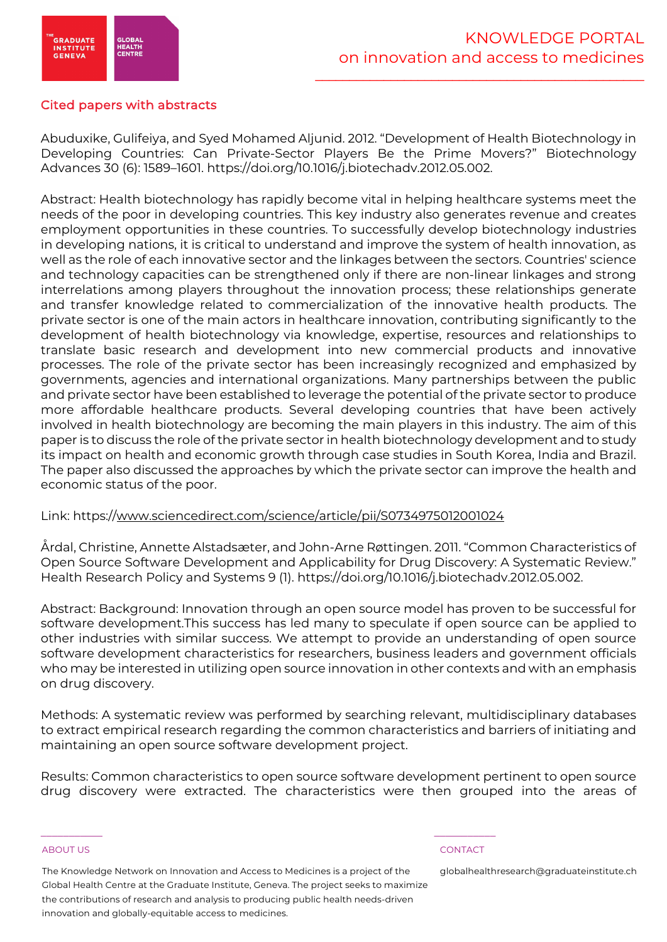

# Cited papers with abstracts

Abuduxike, Gulifeiya, and Syed Mohamed Aljunid. 2012. "Development of Health Biotechnology in Developing Countries: Can Private-Sector Players Be the Prime Movers?" Biotechnology Advances 30 (6): 1589–1601. https://doi.org/10.1016/j.biotechadv.2012.05.002.

Abstract: Health biotechnology has rapidly become vital in helping healthcare systems meet the needs of the poor in developing countries. This key industry also generates revenue and creates employment opportunities in these countries. To successfully develop biotechnology industries in developing nations, it is critical to understand and improve the system of health innovation, as well as the role of each innovative sector and the linkages between the sectors. Countries' science and technology capacities can be strengthened only if there are non-linear linkages and strong interrelations among players throughout the innovation process; these relationships generate and transfer knowledge related to commercialization of the innovative health products. The private sector is one of the main actors in healthcare innovation, contributing significantly to the development of health biotechnology via knowledge, expertise, resources and relationships to translate basic research and development into new commercial products and innovative processes. The role of the private sector has been increasingly recognized and emphasized by governments, agencies and international organizations. Many partnerships between the public and private sector have been established to leverage the potential of the private sector to produce more affordable healthcare products. Several developing countries that have been actively involved in health biotechnology are becoming the main players in this industry. The aim of this paper is to discuss the role of the private sector in health biotechnology development and to study its impact on health and economic growth through case studies in South Korea, India and Brazil. The paper also discussed the approaches by which the private sector can improve the health and economic status of the poor.

### Link: https://www.sciencedirect.com/science/article/pii/S0734975012001024

Årdal, Christine, Annette Alstadsæter, and John-Arne Røttingen. 2011. "Common Characteristics of Open Source Software Development and Applicability for Drug Discovery: A Systematic Review." Health Research Policy and Systems 9 (1). https://doi.org/10.1016/j.biotechadv.2012.05.002.

Abstract: Background: Innovation through an open source model has proven to be successful for software development.This success has led many to speculate if open source can be applied to other industries with similar success. We attempt to provide an understanding of open source software development characteristics for researchers, business leaders and government officials who may be interested in utilizing open source innovation in other contexts and with an emphasis on drug discovery.

Methods: A systematic review was performed by searching relevant, multidisciplinary databases to extract empirical research regarding the common characteristics and barriers of initiating and maintaining an open source software development project.

Results: Common characteristics to open source software development pertinent to open source drug discovery were extracted. The characteristics were then grouped into the areas of

### ABOUT US CONTACT AND RESERVE THE RELEASE OF THE RELEASE OF THE RELEASE OF THE RELEASE OF THE RELEASE OF THE RELEASE OF THE RELEASE OF THE RELEASE OF THE RELEASE OF THE RELEASE OF THE RELEASE OF THE RELEASE OF THE RELEASE O

The Knowledge Network on Innovation and Access to Medicines is a project of the Global Health Centre at the Graduate Institute, Geneva. The project seeks to maximize the contributions of research and analysis to producing public health needs-driven innovation and globally-equitable access to medicines.

 $\frac{1}{2}$  , and the set of the set of the set of the set of the set of the set of the set of the set of the set of the set of the set of the set of the set of the set of the set of the set of the set of the set of the set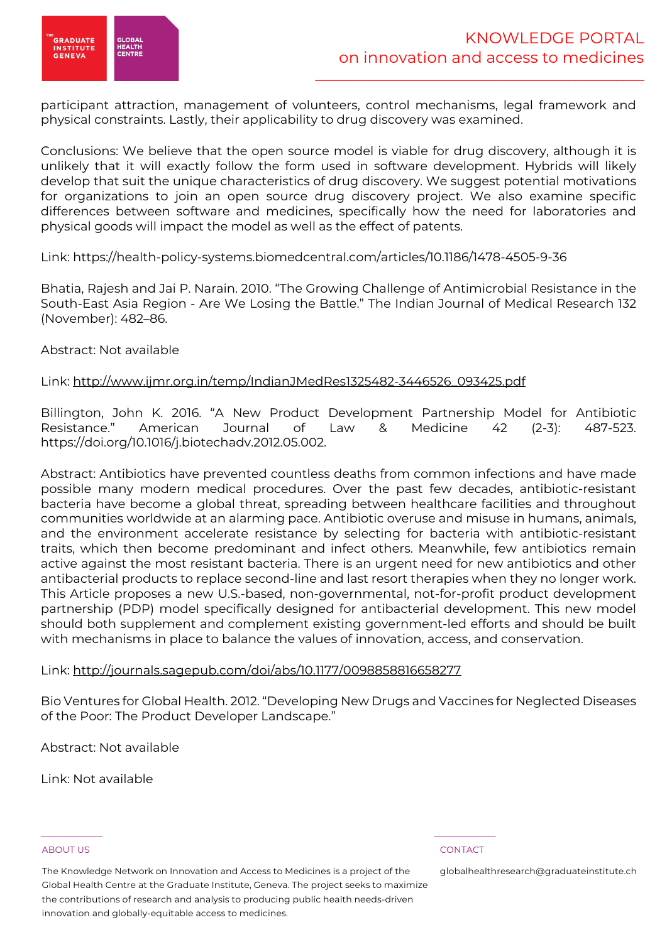

participant attraction, management of volunteers, control mechanisms, legal framework and physical constraints. Lastly, their applicability to drug discovery was examined.

Conclusions: We believe that the open source model is viable for drug discovery, although it is unlikely that it will exactly follow the form used in software development. Hybrids will likely develop that suit the unique characteristics of drug discovery. We suggest potential motivations for organizations to join an open source drug discovery project. We also examine specific differences between software and medicines, specifically how the need for laboratories and physical goods will impact the model as well as the effect of patents.

Link: https://health-policy-systems.biomedcentral.com/articles/10.1186/1478-4505-9-36

Bhatia, Rajesh and Jai P. Narain. 2010. "The Growing Challenge of Antimicrobial Resistance in the South-East Asia Region - Are We Losing the Battle." The Indian Journal of Medical Research 132 (November): 482–86.

Abstract: Not available

Link: http://www.ijmr.org.in/temp/IndianJMedRes1325482-3446526\_093425.pdf

Billington, John K. 2016. "A New Product Development Partnership Model for Antibiotic Resistance." American Journal of Law & Medicine 42 (2-3): 487-523. https://doi.org/10.1016/j.biotechadv.2012.05.002.

Abstract: Antibiotics have prevented countless deaths from common infections and have made possible many modern medical procedures. Over the past few decades, antibiotic-resistant bacteria have become a global threat, spreading between healthcare facilities and throughout communities worldwide at an alarming pace. Antibiotic overuse and misuse in humans, animals, and the environment accelerate resistance by selecting for bacteria with antibiotic-resistant traits, which then become predominant and infect others. Meanwhile, few antibiotics remain active against the most resistant bacteria. There is an urgent need for new antibiotics and other antibacterial products to replace second-line and last resort therapies when they no longer work. This Article proposes a new U.S.-based, non-governmental, not-for-profit product development partnership (PDP) model specifically designed for antibacterial development. This new model should both supplement and complement existing government-led efforts and should be built with mechanisms in place to balance the values of innovation, access, and conservation.

### Link: http://journals.sagepub.com/doi/abs/10.1177/0098858816658277

Bio Ventures for Global Health. 2012. "Developing New Drugs and Vaccines for Neglected Diseases of the Poor: The Product Developer Landscape."

Abstract: Not available

Link: Not available

### ABOUT US CONTACT AND RESERVE THE RELEASE OF THE RELEASE OF THE RELEASE OF THE RELEASE OF THE RELEASE OF THE RELEASE OF THE RELEASE OF THE RELEASE OF THE RELEASE OF THE RELEASE OF THE RELEASE OF THE RELEASE OF THE RELEASE O

The Knowledge Network on Innovation and Access to Medicines is a project of the Global Health Centre at the Graduate Institute, Geneva. The project seeks to maximize the contributions of research and analysis to producing public health needs-driven innovation and globally-equitable access to medicines.

 $\frac{1}{2}$  , and the set of the set of the set of the set of the set of the set of the set of the set of the set of the set of the set of the set of the set of the set of the set of the set of the set of the set of the set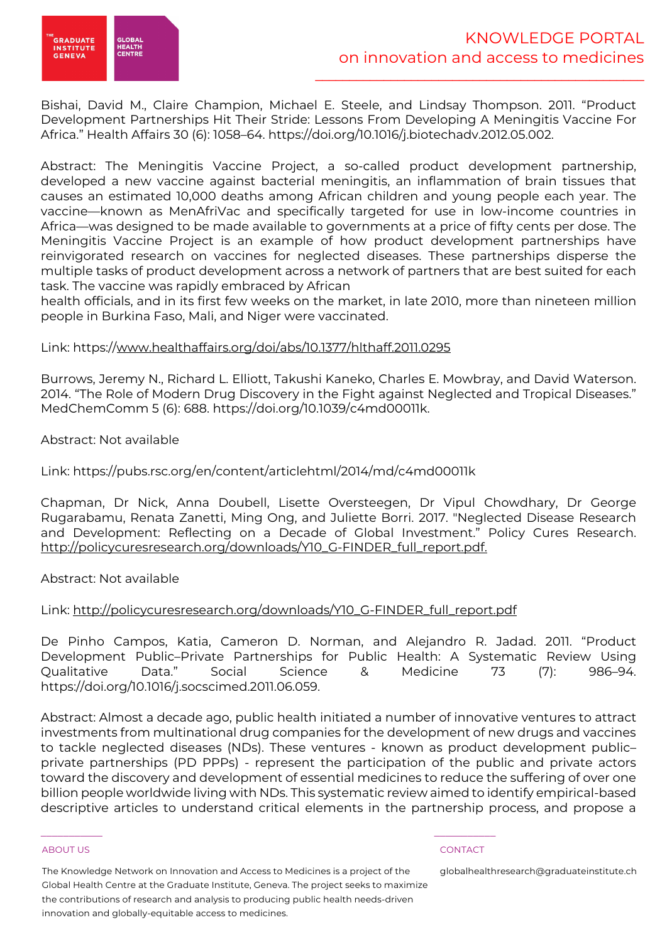

Bishai, David M., Claire Champion, Michael E. Steele, and Lindsay Thompson. 2011. "Product Development Partnerships Hit Their Stride: Lessons From Developing A Meningitis Vaccine For Africa." Health Affairs 30 (6): 1058–64. https://doi.org/10.1016/j.biotechadv.2012.05.002.

Abstract: The Meningitis Vaccine Project, a so-called product development partnership, developed a new vaccine against bacterial meningitis, an inflammation of brain tissues that causes an estimated 10,000 deaths among African children and young people each year. The vaccine—known as MenAfriVac and specifically targeted for use in low-income countries in Africa—was designed to be made available to governments at a price of fifty cents per dose. The Meningitis Vaccine Project is an example of how product development partnerships have reinvigorated research on vaccines for neglected diseases. These partnerships disperse the multiple tasks of product development across a network of partners that are best suited for each task. The vaccine was rapidly embraced by African

health officials, and in its first few weeks on the market, in late 2010, more than nineteen million people in Burkina Faso, Mali, and Niger were vaccinated.

### Link: https://www.healthaffairs.org/doi/abs/10.1377/hlthaff.2011.0295

Burrows, Jeremy N., Richard L. Elliott, Takushi Kaneko, Charles E. Mowbray, and David Waterson. 2014. "The Role of Modern Drug Discovery in the Fight against Neglected and Tropical Diseases." MedChemComm 5 (6): 688. https://doi.org/10.1039/c4md00011k.

Abstract: Not available

Link: https://pubs.rsc.org/en/content/articlehtml/2014/md/c4md00011k

Chapman, Dr Nick, Anna Doubell, Lisette Oversteegen, Dr Vipul Chowdhary, Dr George Rugarabamu, Renata Zanetti, Ming Ong, and Juliette Borri. 2017. "Neglected Disease Research and Development: Reflecting on a Decade of Global Investment." Policy Cures Research. http://policycuresresearch.org/downloads/Y10\_G-FINDER\_full\_report.pdf.

Abstract: Not available

### Link: http://policycuresresearch.org/downloads/Y10\_G-FINDER\_full\_report.pdf

De Pinho Campos, Katia, Cameron D. Norman, and Alejandro R. Jadad. 2011. "Product Development Public–Private Partnerships for Public Health: A Systematic Review Using Qualitative Data." Social Science & Medicine 73 (7): 986–94. https://doi.org/10.1016/j.socscimed.2011.06.059.

Abstract: Almost a decade ago, public health initiated a number of innovative ventures to attract investments from multinational drug companies for the development of new drugs and vaccines to tackle neglected diseases (NDs). These ventures - known as product development public– private partnerships (PD PPPs) - represent the participation of the public and private actors toward the discovery and development of essential medicines to reduce the suffering of over one billion people worldwide living with NDs. This systematic review aimed to identify empirical-based descriptive articles to understand critical elements in the partnership process, and propose a

### ABOUT US CONTACT AND RESERVE THE RELEASE OF THE RELEASE OF THE RELEASE OF THE RELEASE OF THE RELEASE OF THE RELEASE OF THE RELEASE OF THE RELEASE OF THE RELEASE OF THE RELEASE OF THE RELEASE OF THE RELEASE OF THE RELEASE O

The Knowledge Network on Innovation and Access to Medicines is a project of the Global Health Centre at the Graduate Institute, Geneva. The project seeks to maximize the contributions of research and analysis to producing public health needs-driven innovation and globally-equitable access to medicines.

 $\frac{1}{2}$  , and the set of the set of the set of the set of the set of the set of the set of the set of the set of the set of the set of the set of the set of the set of the set of the set of the set of the set of the set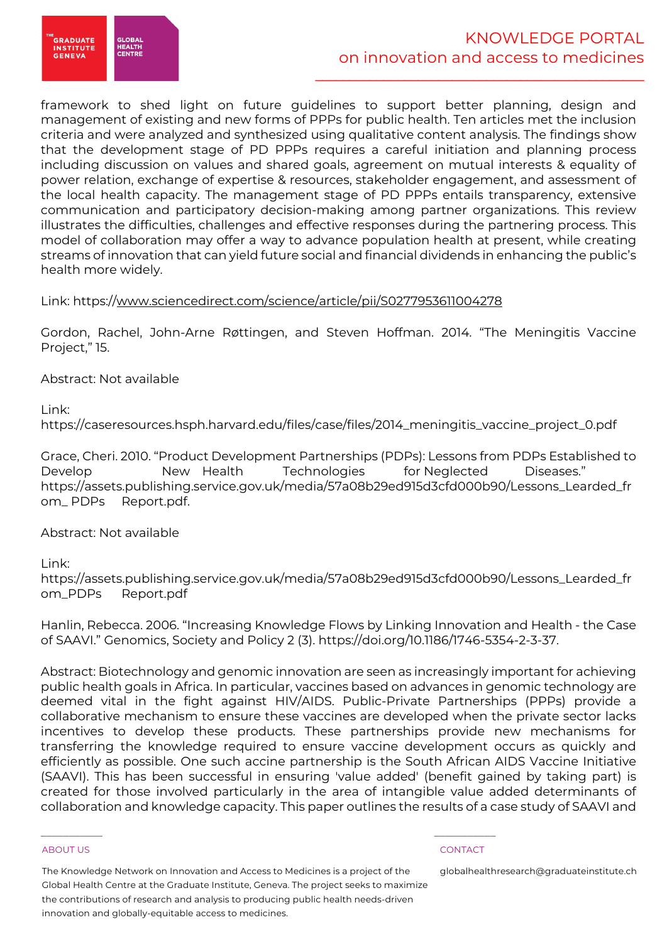

# KNOWLEDGE PORTAL on innovation and access to medicines

\_\_\_\_\_\_\_\_\_\_\_\_\_\_\_\_\_\_\_\_\_\_\_\_\_\_\_\_\_\_\_\_\_\_\_\_\_\_\_\_\_\_\_\_\_\_\_\_

framework to shed light on future guidelines to support better planning, design and management of existing and new forms of PPPs for public health. Ten articles met the inclusion criteria and were analyzed and synthesized using qualitative content analysis. The findings show that the development stage of PD PPPs requires a careful initiation and planning process including discussion on values and shared goals, agreement on mutual interests & equality of power relation, exchange of expertise & resources, stakeholder engagement, and assessment of the local health capacity. The management stage of PD PPPs entails transparency, extensive communication and participatory decision-making among partner organizations. This review illustrates the difficulties, challenges and effective responses during the partnering process. This model of collaboration may offer a way to advance population health at present, while creating streams of innovation that can yield future social and financial dividends in enhancing the public's health more widely.

# Link: https://www.sciencedirect.com/science/article/pii/S0277953611004278

Gordon, Rachel, John-Arne Røttingen, and Steven Hoffman. 2014. "The Meningitis Vaccine Project," 15.

Abstract: Not available

Link:

https://caseresources.hsph.harvard.edu/files/case/files/2014\_meningitis\_vaccine\_project\_0.pdf

Grace, Cheri. 2010. "Product Development Partnerships (PDPs): Lessons from PDPs Established to Develop New Health Technologies for Neglected Diseases." https://assets.publishing.service.gov.uk/media/57a08b29ed915d3cfd000b90/Lessons\_Learded\_fr om\_ PDPs Report.pdf.

Abstract: Not available

Link:

https://assets.publishing.service.gov.uk/media/57a08b29ed915d3cfd000b90/Lessons\_Learded\_fr om\_PDPs Report.pdf

Hanlin, Rebecca. 2006. "Increasing Knowledge Flows by Linking Innovation and Health - the Case of SAAVI." Genomics, Society and Policy 2 (3). https://doi.org/10.1186/1746-5354-2-3-37.

Abstract: Biotechnology and genomic innovation are seen as increasingly important for achieving public health goals in Africa. In particular, vaccines based on advances in genomic technology are deemed vital in the fight against HIV/AIDS. Public-Private Partnerships (PPPs) provide a collaborative mechanism to ensure these vaccines are developed when the private sector lacks incentives to develop these products. These partnerships provide new mechanisms for transferring the knowledge required to ensure vaccine development occurs as quickly and efficiently as possible. One such accine partnership is the South African AIDS Vaccine Initiative (SAAVI). This has been successful in ensuring 'value added' (benefit gained by taking part) is created for those involved particularly in the area of intangible value added determinants of collaboration and knowledge capacity. This paper outlines the results of a case study of SAAVI and

### ABOUT US CONTACT AND RESERVE THE RELEASE OF THE RELEASE OF THE RELEASE OF THE RELEASE OF THE RELEASE OF THE RELEASE OF THE RELEASE OF THE RELEASE OF THE RELEASE OF THE RELEASE OF THE RELEASE OF THE RELEASE OF THE RELEASE O

The Knowledge Network on Innovation and Access to Medicines is a project of the Global Health Centre at the Graduate Institute, Geneva. The project seeks to maximize the contributions of research and analysis to producing public health needs-driven innovation and globally-equitable access to medicines.

 $\frac{1}{2}$  , and the set of the set of the set of the set of the set of the set of the set of the set of the set of the set of the set of the set of the set of the set of the set of the set of the set of the set of the set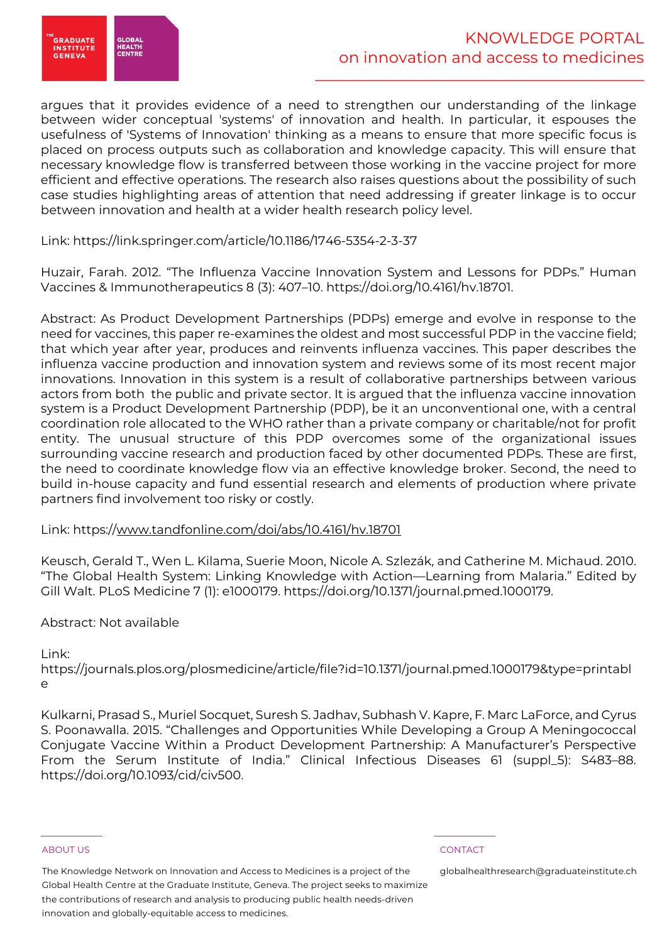

argues that it provides evidence of a need to strengthen our understanding of the linkage between wider conceptual 'systems' of innovation and health. In particular, it espouses the usefulness of 'Systems of Innovation' thinking as a means to ensure that more specific focus is placed on process outputs such as collaboration and knowledge capacity. This will ensure that necessary knowledge flow is transferred between those working in the vaccine project for more efficient and effective operations. The research also raises questions about the possibility of such case studies highlighting areas of attention that need addressing if greater linkage is to occur between innovation and health at a wider health research policy level.

Link: https://link.springer.com/article/10.1186/1746-5354-2-3-37

Huzair, Farah. 2012. "The Influenza Vaccine Innovation System and Lessons for PDPs." Human Vaccines & Immunotherapeutics 8 (3): 407–10. https://doi.org/10.4161/hv.18701.

Abstract: As Product Development Partnerships (PDPs) emerge and evolve in response to the need for vaccines, this paper re-examines the oldest and most successful PDP in the vaccine field; that which year after year, produces and reinvents influenza vaccines. This paper describes the influenza vaccine production and innovation system and reviews some of its most recent major innovations. Innovation in this system is a result of collaborative partnerships between various actors from both the public and private sector. It is argued that the influenza vaccine innovation system is a Product Development Partnership (PDP), be it an unconventional one, with a central coordination role allocated to the WHO rather than a private company or charitable/not for profit entity. The unusual structure of this PDP overcomes some of the organizational issues surrounding vaccine research and production faced by other documented PDPs. These are first, the need to coordinate knowledge flow via an effective knowledge broker. Second, the need to build in-house capacity and fund essential research and elements of production where private partners find involvement too risky or costly.

# Link: https://www.tandfonline.com/doi/abs/10.4161/hv.18701

Keusch, Gerald T., Wen L. Kilama, Suerie Moon, Nicole A. Szlezák, and Catherine M. Michaud. 2010. "The Global Health System: Linking Knowledge with Action—Learning from Malaria." Edited by Gill Walt. PLoS Medicine 7 (1): e1000179. https://doi.org/10.1371/journal.pmed.1000179.

### Abstract: Not available

### Link:

https://journals.plos.org/plosmedicine/article/file?id=10.1371/journal.pmed.1000179&type=printabl  $\sim$ 

Kulkarni, Prasad S., Muriel Socquet, Suresh S. Jadhav, Subhash V. Kapre, F. Marc LaForce, and Cyrus S. Poonawalla. 2015. "Challenges and Opportunities While Developing a Group A Meningococcal Conjugate Vaccine Within a Product Development Partnership: A Manufacturer's Perspective From the Serum Institute of India." Clinical Infectious Diseases 61 (suppl\_5): S483–88. https://doi.org/10.1093/cid/civ500.

### ABOUT US CONTACT AND RESERVE THE RELEASE OF THE RELEASE OF THE RELEASE OF THE RELEASE OF THE RELEASE OF THE RELEASE OF THE RELEASE OF THE RELEASE OF THE RELEASE OF THE RELEASE OF THE RELEASE OF THE RELEASE OF THE RELEASE O

The Knowledge Network on Innovation and Access to Medicines is a project of the Global Health Centre at the Graduate Institute, Geneva. The project seeks to maximize the contributions of research and analysis to producing public health needs-driven innovation and globally-equitable access to medicines.

 $\frac{1}{2}$  , and the set of the set of the set of the set of the set of the set of the set of the set of the set of the set of the set of the set of the set of the set of the set of the set of the set of the set of the set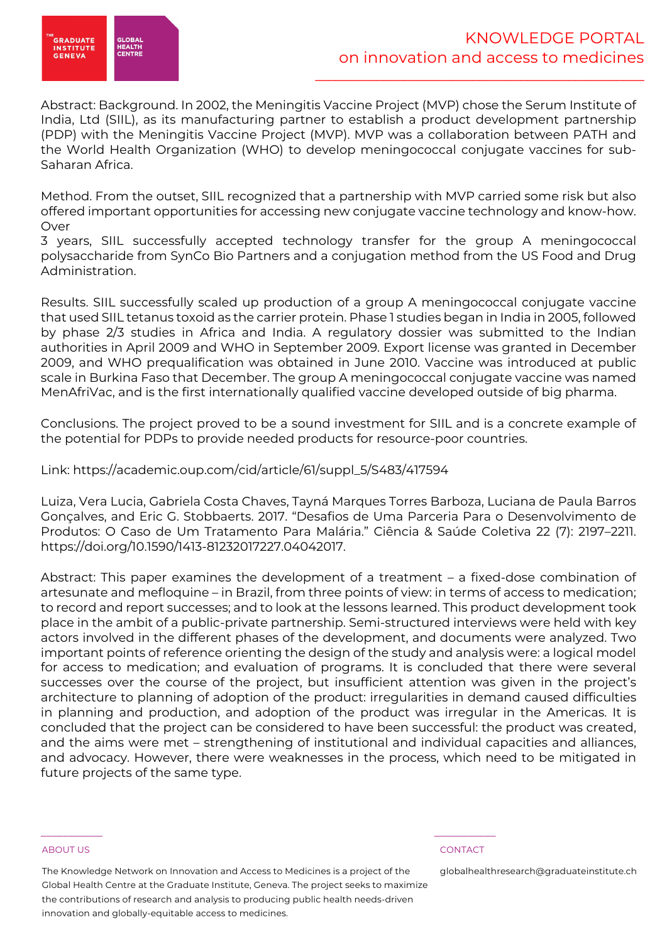

Abstract: Background. In 2002, the Meningitis Vaccine Project (MVP) chose the Serum Institute of India, Ltd (SIIL), as its manufacturing partner to establish a product development partnership (PDP) with the Meningitis Vaccine Project (MVP). MVP was a collaboration between PATH and the World Health Organization (WHO) to develop meningococcal conjugate vaccines for sub-Saharan Africa.

Method. From the outset, SIIL recognized that a partnership with MVP carried some risk but also offered important opportunities for accessing new conjugate vaccine technology and know-how. Over

3 years, SIIL successfully accepted technology transfer for the group A meningococcal polysaccharide from SynCo Bio Partners and a conjugation method from the US Food and Drug Administration.

Results. SIIL successfully scaled up production of a group A meningococcal conjugate vaccine that used SIIL tetanus toxoid as the carrier protein. Phase 1 studies began in India in 2005, followed by phase 2/3 studies in Africa and India. A regulatory dossier was submitted to the Indian authorities in April 2009 and WHO in September 2009. Export license was granted in December 2009, and WHO prequalification was obtained in June 2010. Vaccine was introduced at public scale in Burkina Faso that December. The group A meningococcal conjugate vaccine was named MenAfriVac, and is the first internationally qualified vaccine developed outside of big pharma.

Conclusions. The project proved to be a sound investment for SIIL and is a concrete example of the potential for PDPs to provide needed products for resource-poor countries.

Link: https://academic.oup.com/cid/article/61/suppl\_5/S483/417594

Luiza, Vera Lucia, Gabriela Costa Chaves, Tayná Marques Torres Barboza, Luciana de Paula Barros Gonçalves, and Eric G. Stobbaerts. 2017. "Desafios de Uma Parceria Para o Desenvolvimento de Produtos: O Caso de Um Tratamento Para Malária." Ciência & Saúde Coletiva 22 (7): 2197–2211. https://doi.org/10.1590/1413-81232017227.04042017.

Abstract: This paper examines the development of a treatment – a fixed-dose combination of artesunate and mefloquine – in Brazil, from three points of view: in terms of access to medication; to record and report successes; and to look at the lessons learned. This product development took place in the ambit of a public-private partnership. Semi-structured interviews were held with key actors involved in the different phases of the development, and documents were analyzed. Two important points of reference orienting the design of the study and analysis were: a logical model for access to medication; and evaluation of programs. It is concluded that there were several successes over the course of the project, but insufficient attention was given in the project's architecture to planning of adoption of the product: irregularities in demand caused difficulties in planning and production, and adoption of the product was irregular in the Americas. It is concluded that the project can be considered to have been successful: the product was created, and the aims were met – strengthening of institutional and individual capacities and alliances, and advocacy. However, there were weaknesses in the process, which need to be mitigated in future projects of the same type.

### ABOUT US CONTACT AND RESERVE THE RELEASE OF THE RELEASE OF THE RELEASE OF THE RELEASE OF THE RELEASE OF THE RELEASE OF THE RELEASE OF THE RELEASE OF THE RELEASE OF THE RELEASE OF THE RELEASE OF THE RELEASE OF THE RELEASE O

The Knowledge Network on Innovation and Access to Medicines is a project of the Global Health Centre at the Graduate Institute, Geneva. The project seeks to maximize the contributions of research and analysis to producing public health needs-driven innovation and globally-equitable access to medicines.

 $\frac{1}{2}$  , and the set of the set of the set of the set of the set of the set of the set of the set of the set of the set of the set of the set of the set of the set of the set of the set of the set of the set of the set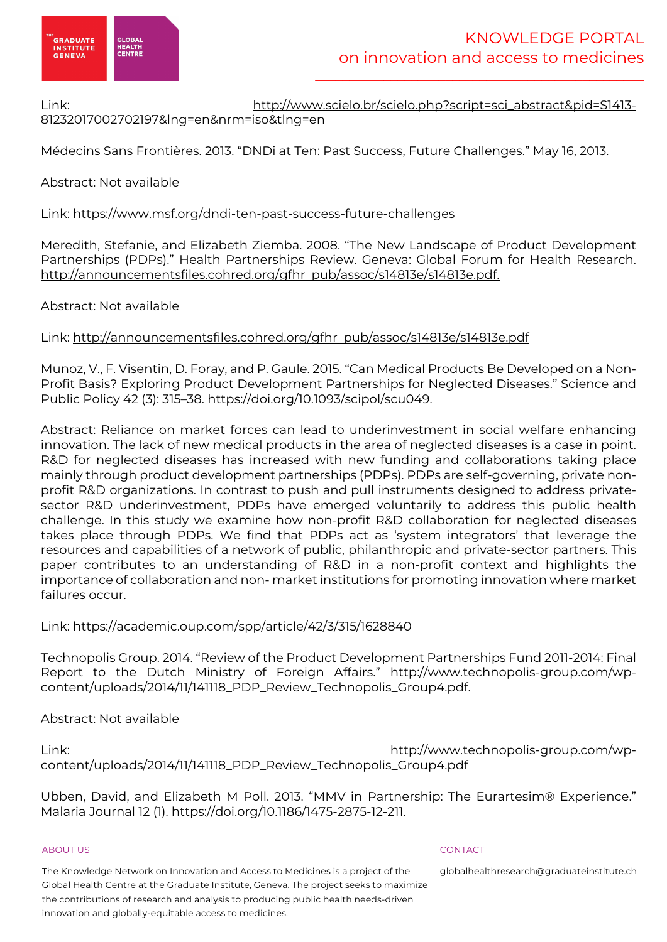

Link: http://www.scielo.br/scielo.php?script=sci\_abstract&pid=S1413- 81232017002702197&lng=en&nrm=iso&tlng=en

Médecins Sans Frontières. 2013. "DNDi at Ten: Past Success, Future Challenges." May 16, 2013.

Abstract: Not available

# Link: https://www.msf.org/dndi-ten-past-success-future-challenges

Meredith, Stefanie, and Elizabeth Ziemba. 2008. "The New Landscape of Product Development Partnerships (PDPs)." Health Partnerships Review. Geneva: Global Forum for Health Research. http://announcementsfiles.cohred.org/gfhr\_pub/assoc/s14813e/s14813e.pdf.

Abstract: Not available

Link: http://announcementsfiles.cohred.org/gfhr\_pub/assoc/s14813e/s14813e.pdf

Munoz, V., F. Visentin, D. Foray, and P. Gaule. 2015. "Can Medical Products Be Developed on a Non-Profit Basis? Exploring Product Development Partnerships for Neglected Diseases." Science and Public Policy 42 (3): 315–38. https://doi.org/10.1093/scipol/scu049.

Abstract: Reliance on market forces can lead to underinvestment in social welfare enhancing innovation. The lack of new medical products in the area of neglected diseases is a case in point. R&D for neglected diseases has increased with new funding and collaborations taking place mainly through product development partnerships (PDPs). PDPs are self-governing, private nonprofit R&D organizations. In contrast to push and pull instruments designed to address privatesector R&D underinvestment, PDPs have emerged voluntarily to address this public health challenge. In this study we examine how non-profit R&D collaboration for neglected diseases takes place through PDPs. We find that PDPs act as 'system integrators' that leverage the resources and capabilities of a network of public, philanthropic and private-sector partners. This paper contributes to an understanding of R&D in a non-profit context and highlights the importance of collaboration and non- market institutions for promoting innovation where market failures occur.

Link: https://academic.oup.com/spp/article/42/3/315/1628840

Technopolis Group. 2014. "Review of the Product Development Partnerships Fund 2011-2014: Final Report to the Dutch Ministry of Foreign Affairs." http://www.technopolis-group.com/wpcontent/uploads/2014/11/141118\_PDP\_Review\_Technopolis\_Group4.pdf.

Abstract: Not available

Link: http://www.technopolis-group.com/wpcontent/uploads/2014/11/141118\_PDP\_Review\_Technopolis\_Group4.pdf

Ubben, David, and Elizabeth M Poll. 2013. "MMV in Partnership: The Eurartesim® Experience." Malaria Journal 12 (1). https://doi.org/10.1186/1475-2875-12-211.

### ABOUT US AND LOCAL CONTACT AND LOCAL CONTACT AND LOCAL CONTACT AND LOCAL CONTACT.

The Knowledge Network on Innovation and Access to Medicines is a project of the Global Health Centre at the Graduate Institute, Geneva. The project seeks to maximize the contributions of research and analysis to producing public health needs-driven innovation and globally-equitable access to medicines.

 $\frac{1}{2}$  , and the set of the set of the set of the set of the set of the set of the set of the set of the set of the set of the set of the set of the set of the set of the set of the set of the set of the set of the set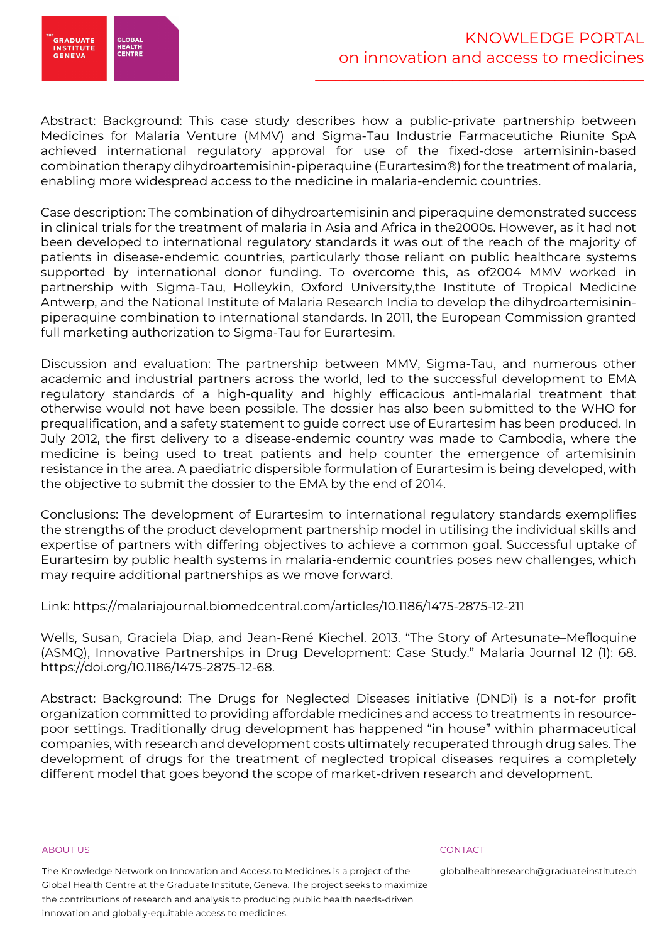

Abstract: Background: This case study describes how a public-private partnership between Medicines for Malaria Venture (MMV) and Sigma-Tau Industrie Farmaceutiche Riunite SpA achieved international regulatory approval for use of the fixed-dose artemisinin-based combination therapy dihydroartemisinin-piperaquine (Eurartesim®) for the treatment of malaria, enabling more widespread access to the medicine in malaria-endemic countries.

Case description: The combination of dihydroartemisinin and piperaquine demonstrated success in clinical trials for the treatment of malaria in Asia and Africa in the2000s. However, as it had not been developed to international regulatory standards it was out of the reach of the majority of patients in disease-endemic countries, particularly those reliant on public healthcare systems supported by international donor funding. To overcome this, as of2004 MMV worked in partnership with Sigma-Tau, Holleykin, Oxford University,the Institute of Tropical Medicine Antwerp, and the National Institute of Malaria Research India to develop the dihydroartemisininpiperaquine combination to international standards. In 2011, the European Commission granted full marketing authorization to Sigma-Tau for Eurartesim.

Discussion and evaluation: The partnership between MMV, Sigma-Tau, and numerous other academic and industrial partners across the world, led to the successful development to EMA regulatory standards of a high-quality and highly efficacious anti-malarial treatment that otherwise would not have been possible. The dossier has also been submitted to the WHO for prequalification, and a safety statement to guide correct use of Eurartesim has been produced. In July 2012, the first delivery to a disease-endemic country was made to Cambodia, where the medicine is being used to treat patients and help counter the emergence of artemisinin resistance in the area. A paediatric dispersible formulation of Eurartesim is being developed, with the objective to submit the dossier to the EMA by the end of 2014.

Conclusions: The development of Eurartesim to international regulatory standards exemplifies the strengths of the product development partnership model in utilising the individual skills and expertise of partners with differing objectives to achieve a common goal. Successful uptake of Eurartesim by public health systems in malaria-endemic countries poses new challenges, which may require additional partnerships as we move forward.

Link: https://malariajournal.biomedcentral.com/articles/10.1186/1475-2875-12-211

Wells, Susan, Graciela Diap, and Jean-René Kiechel. 2013. "The Story of Artesunate–Mefloquine (ASMQ), Innovative Partnerships in Drug Development: Case Study." Malaria Journal 12 (1): 68. https://doi.org/10.1186/1475-2875-12-68.

Abstract: Background: The Drugs for Neglected Diseases initiative (DNDi) is a not-for profit organization committed to providing affordable medicines and access to treatments in resourcepoor settings. Traditionally drug development has happened "in house" within pharmaceutical companies, with research and development costs ultimately recuperated through drug sales. The development of drugs for the treatment of neglected tropical diseases requires a completely different model that goes beyond the scope of market-driven research and development.

The Knowledge Network on Innovation and Access to Medicines is a project of the Global Health Centre at the Graduate Institute, Geneva. The project seeks to maximize the contributions of research and analysis to producing public health needs-driven innovation and globally-equitable access to medicines.

 $\frac{1}{2}$  , and the set of the set of the set of the set of the set of the set of the set of the set of the set of the set of the set of the set of the set of the set of the set of the set of the set of the set of the set

### ABOUT US CONTACT AND RESERVE THE RELEASE OF THE RELEASE OF THE RELEASE OF THE RELEASE OF THE RELEASE OF THE RELEASE OF THE RELEASE OF THE RELEASE OF THE RELEASE OF THE RELEASE OF THE RELEASE OF THE RELEASE OF THE RELEASE O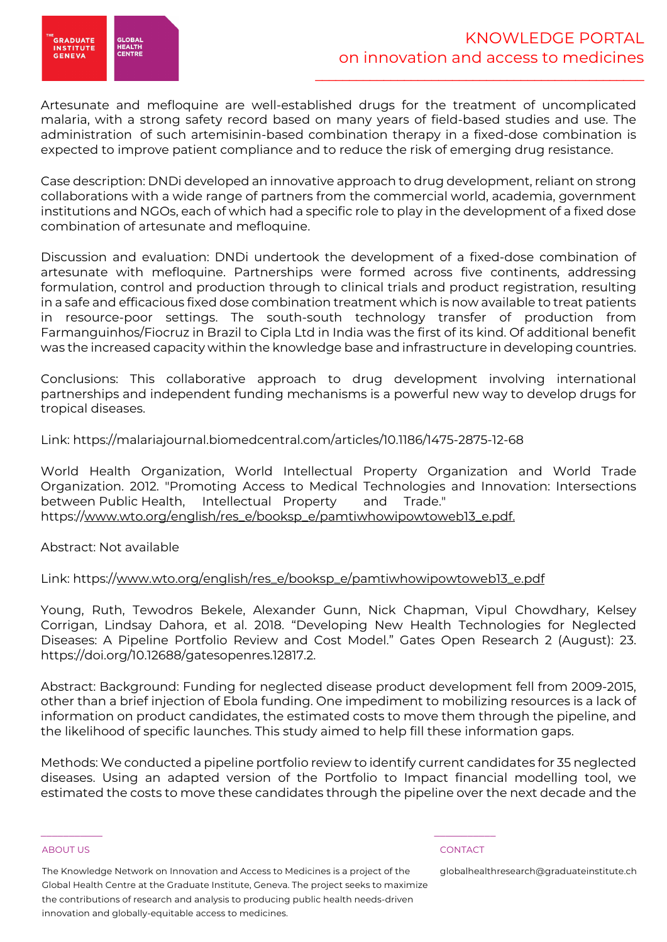

Artesunate and mefloquine are well-established drugs for the treatment of uncomplicated malaria, with a strong safety record based on many years of field-based studies and use. The administration of such artemisinin-based combination therapy in a fixed-dose combination is expected to improve patient compliance and to reduce the risk of emerging drug resistance.

Case description: DNDi developed an innovative approach to drug development, reliant on strong collaborations with a wide range of partners from the commercial world, academia, government institutions and NGOs, each of which had a specific role to play in the development of a fixed dose combination of artesunate and mefloquine.

Discussion and evaluation: DNDi undertook the development of a fixed-dose combination of artesunate with mefloquine. Partnerships were formed across five continents, addressing formulation, control and production through to clinical trials and product registration, resulting in a safe and efficacious fixed dose combination treatment which is now available to treat patients in resource-poor settings. The south-south technology transfer of production from Farmanguinhos/Fiocruz in Brazil to Cipla Ltd in India was the first of its kind. Of additional benefit was the increased capacity within the knowledge base and infrastructure in developing countries.

Conclusions: This collaborative approach to drug development involving international partnerships and independent funding mechanisms is a powerful new way to develop drugs for tropical diseases.

Link: https://malariajournal.biomedcentral.com/articles/10.1186/1475-2875-12-68

World Health Organization, World Intellectual Property Organization and World Trade Organization. 2012. "Promoting Access to Medical Technologies and Innovation: Intersections between Public Health, Intellectual Property and Trade." https://www.wto.org/english/res\_e/booksp\_e/pamtiwhowipowtoweb13\_e.pdf.

Abstract: Not available

# Link: https://www.wto.org/english/res\_e/booksp\_e/pamtiwhowipowtoweb13\_e.pdf

Young, Ruth, Tewodros Bekele, Alexander Gunn, Nick Chapman, Vipul Chowdhary, Kelsey Corrigan, Lindsay Dahora, et al. 2018. "Developing New Health Technologies for Neglected Diseases: A Pipeline Portfolio Review and Cost Model." Gates Open Research 2 (August): 23. https://doi.org/10.12688/gatesopenres.12817.2.

Abstract: Background: Funding for neglected disease product development fell from 2009-2015, other than a brief injection of Ebola funding. One impediment to mobilizing resources is a lack of information on product candidates, the estimated costs to move them through the pipeline, and the likelihood of specific launches. This study aimed to help fill these information gaps.

Methods: We conducted a pipeline portfolio review to identify current candidates for 35 neglected diseases. Using an adapted version of the Portfolio to Impact financial modelling tool, we estimated the costs to move these candidates through the pipeline over the next decade and the

### ABOUT US CONTACT AND RESERVE THE RELEASE OF THE RELEASE OF THE RELEASE OF THE RELEASE OF THE RELEASE OF THE RELEASE OF THE RELEASE OF THE RELEASE OF THE RELEASE OF THE RELEASE OF THE RELEASE OF THE RELEASE OF THE RELEASE O

The Knowledge Network on Innovation and Access to Medicines is a project of the Global Health Centre at the Graduate Institute, Geneva. The project seeks to maximize the contributions of research and analysis to producing public health needs-driven innovation and globally-equitable access to medicines.

 $\frac{1}{2}$  , and the set of the set of the set of the set of the set of the set of the set of the set of the set of the set of the set of the set of the set of the set of the set of the set of the set of the set of the set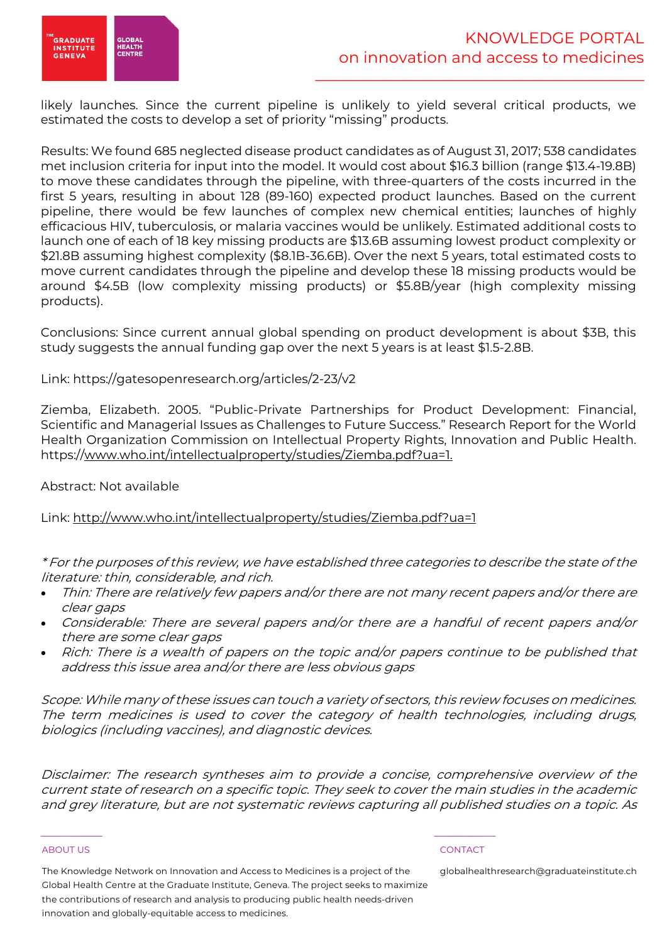

likely launches. Since the current pipeline is unlikely to yield several critical products, we estimated the costs to develop a set of priority "missing" products.

Results: We found 685 neglected disease product candidates as of August 31, 2017; 538 candidates met inclusion criteria for input into the model. It would cost about \$16.3 billion (range \$13.4-19.8B) to move these candidates through the pipeline, with three-quarters of the costs incurred in the first 5 years, resulting in about 128 (89-160) expected product launches. Based on the current pipeline, there would be few launches of complex new chemical entities; launches of highly efficacious HIV, tuberculosis, or malaria vaccines would be unlikely. Estimated additional costs to launch one of each of 18 key missing products are \$13.6B assuming lowest product complexity or \$21.8B assuming highest complexity (\$8.1B-36.6B). Over the next 5 years, total estimated costs to move current candidates through the pipeline and develop these 18 missing products would be around \$4.5B (low complexity missing products) or \$5.8B/year (high complexity missing products).

Conclusions: Since current annual global spending on product development is about \$3B, this study suggests the annual funding gap over the next 5 years is at least \$1.5-2.8B.

Link: https://gatesopenresearch.org/articles/2-23/v2

Ziemba, Elizabeth. 2005. "Public-Private Partnerships for Product Development: Financial, Scientific and Managerial Issues as Challenges to Future Success." Research Report for the World Health Organization Commission on Intellectual Property Rights, Innovation and Public Health. https://www.who.int/intellectualproperty/studies/Ziemba.pdf?ua=1.

Abstract: Not available

Link: http://www.who.int/intellectualproperty/studies/Ziemba.pdf?ua=1

\* For the purposes of this review, we have established three categories to describe the state of the literature: thin, considerable, and rich.

- Thin: There are relatively few papers and/or there are not many recent papers and/or there are clear gaps
- Considerable: There are several papers and/or there are a handful of recent papers and/or there are some clear gaps
- Rich: There is a wealth of papers on the topic and/or papers continue to be published that address this issue area and/or there are less obvious gaps

Scope: While many of these issues can touch a variety of sectors, this review focuses on medicines. The term medicines is used to cover the category of health technologies, including drugs, biologics (including vaccines), and diagnostic devices.

Disclaimer: The research syntheses aim to provide a concise, comprehensive overview of the current state of research on a specific topic. They seek to cover the main studies in the academic and grey literature, but are not systematic reviews capturing all published studies on a topic. As

### ABOUT US CONTACT AND RESERVE THE RELEASE OF THE RELEASE OF THE RELEASE OF THE RELEASE OF THE RELEASE OF THE RELEASE OF THE RELEASE OF THE RELEASE OF THE RELEASE OF THE RELEASE OF THE RELEASE OF THE RELEASE OF THE RELEASE O

The Knowledge Network on Innovation and Access to Medicines is a project of the Global Health Centre at the Graduate Institute, Geneva. The project seeks to maximize the contributions of research and analysis to producing public health needs-driven innovation and globally-equitable access to medicines.

 $\frac{1}{2}$  , and the set of the set of the set of the set of the set of the set of the set of the set of the set of the set of the set of the set of the set of the set of the set of the set of the set of the set of the set